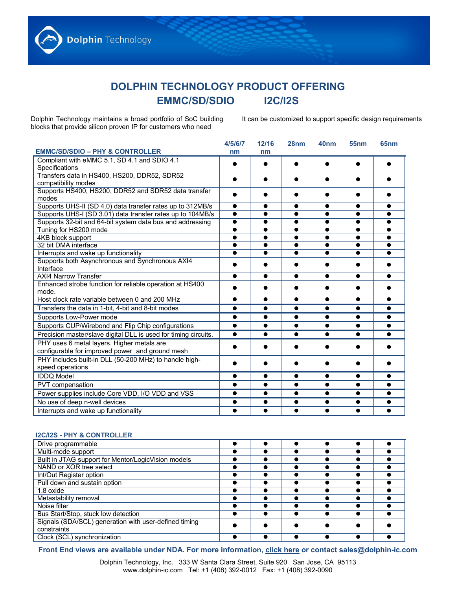## **DOLPHIN TECHNOLOGY PRODUCT OFFERING EMMC/SD/SDIO I2C/I2S**

Dolphin Technology maintains a broad portfolio of SoC building blocks that provide silicon proven IP for customers who need

It can be customized to support specific design requirements

| <b>EMMC/SD/SDIO - PHY &amp; CONTROLLER</b>                      | 4/5/6/7<br>nm | 12/16     | 28nm      | 40 <sub>nm</sub> | 55 <sub>nm</sub> | 65 <sub>nm</sub> |
|-----------------------------------------------------------------|---------------|-----------|-----------|------------------|------------------|------------------|
|                                                                 |               | nm        |           |                  |                  |                  |
| Compliant with eMMC 5.1, SD 4.1 and SDIO 4.1                    |               | $\bullet$ | $\bullet$ |                  |                  |                  |
| Specifications                                                  |               |           |           |                  |                  |                  |
| Transfers data in HS400, HS200, DDR52, SDR52                    |               |           |           |                  |                  |                  |
| compatibility modes                                             |               |           |           |                  |                  |                  |
| Supports HS400, HS200, DDR52 and SDR52 data transfer            |               |           |           |                  |                  |                  |
| modes                                                           |               |           |           |                  |                  |                  |
| Supports UHS-II (SD 4.0) data transfer rates up to 312MB/s      | $\bullet$     | $\bullet$ | $\bullet$ | ●                | $\bullet$        | ●                |
| Supports UHS-I (SD 3.01) data transfer rates up to 104MB/s      | $\bullet$     | $\bullet$ | $\bullet$ | $\bullet$        | $\bullet$        |                  |
| Supports 32-bit and 64-bit system data bus and addressing       | $\bullet$     | $\bullet$ | ●         |                  | $\bullet$        |                  |
| Tuning for HS200 mode                                           |               | $\bullet$ | ●         |                  | $\bullet$        |                  |
| 4KB block support                                               |               | $\bullet$ |           |                  |                  |                  |
| 32 bit DMA interface                                            |               | $\bullet$ |           |                  |                  |                  |
| Interrupts and wake up functionality                            |               |           |           |                  |                  |                  |
| Supports both Asynchronous and Synchronous AXI4                 |               |           |           |                  |                  |                  |
| Interface                                                       |               |           |           |                  |                  |                  |
| <b>AXI4 Narrow Transfer</b>                                     | $\bullet$     | $\bullet$ | ●         |                  | $\bullet$        | ●                |
| Enhanced strobe function for reliable operation at HS400        |               |           |           |                  |                  |                  |
| mode.                                                           |               |           |           |                  |                  |                  |
| Host clock rate variable between 0 and 200 MHz                  |               | $\bullet$ | ●         |                  | $\bullet$        |                  |
| Transfers the data in 1-bit, 4-bit and 8-bit modes              | $\bullet$     | $\bullet$ | $\bullet$ | $\bullet$        | $\bullet$        |                  |
| Supports Low-Power mode                                         | $\bullet$     | $\bullet$ | $\bullet$ | $\bullet$        | $\bullet$        |                  |
| Supports CUP/Wirebond and Flip Chip configurations              | $\bullet$     | $\bullet$ | $\bullet$ | $\bullet$        | $\bullet$        | $\bullet$        |
| Precision master/slave digital DLL is used for timing circuits. | $\bullet$     | $\bullet$ | ●         |                  |                  |                  |
| PHY uses 6 metal layers. Higher metals are                      |               |           |           |                  |                  |                  |
| configurable for improved power and ground mesh                 |               |           |           |                  |                  |                  |
| PHY includes built-in DLL (50-200 MHz) to handle high-          |               |           |           |                  |                  |                  |
| speed operations                                                |               |           |           |                  |                  |                  |
| <b>IDDQ Model</b>                                               | $\bullet$     | $\bullet$ | $\bullet$ | $\bullet$        | $\bullet$        | $\bullet$        |
| PVT compensation                                                | $\bullet$     | $\bullet$ | $\bullet$ | $\bullet$        | $\bullet$        | $\bullet$        |
| Power supplies include Core VDD, I/O VDD and VSS                | $\bullet$     | $\bullet$ | $\bullet$ | $\bullet$        | $\bullet$        |                  |
| No use of deep n-well devices                                   | $\bullet$     | $\bullet$ | $\bullet$ | $\bullet$        | $\bullet$        | $\bullet$        |
| Interrupts and wake up functionality                            | $\bullet$     | $\bullet$ | $\bullet$ |                  | $\bullet$        |                  |

## **I2C/I2S - PHY & CONTROLLER**

| Drive programmable                                    |  |  |  |
|-------------------------------------------------------|--|--|--|
| Multi-mode support                                    |  |  |  |
| Built in JTAG support for Mentor/LogicVision models   |  |  |  |
| NAND or XOR tree select                               |  |  |  |
| Int/Out Register option                               |  |  |  |
| Pull down and sustain option                          |  |  |  |
| 1.8 oxide                                             |  |  |  |
| Metastability removal                                 |  |  |  |
| Noise filter                                          |  |  |  |
| Bus Start/Stop, stuck low detection                   |  |  |  |
| Signals (SDA/SCL) generation with user-defined timing |  |  |  |
| constraints                                           |  |  |  |
| Clock (SCL) synchronization                           |  |  |  |

**Front End views are available under NDA. For more information, [click here](http://www.dolphin-ic.com/request.php) or contact [sales@dolphin-ic.com](mailto:sales@dolphin-ic.com)**

Dolphin Technology, Inc. 333 W Santa Clara Street, Suite 920 San Jose, CA 95113 www.dolphin-ic.com Tel: +1 (408) 392-0012 Fax: +1 (408) 392-0090